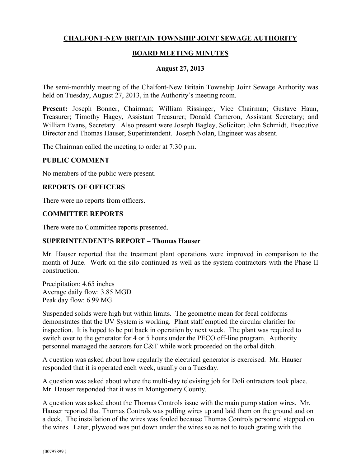# **CHALFONT-NEW BRITAIN TOWNSHIP JOINT SEWAGE AUTHORITY**

# **BOARD MEETING MINUTES**

#### **August 27, 2013**

The semi-monthly meeting of the Chalfont-New Britain Township Joint Sewage Authority was held on Tuesday, August 27, 2013, in the Authority's meeting room.

**Present:** Joseph Bonner, Chairman; William Rissinger, Vice Chairman; Gustave Haun, Treasurer; Timothy Hagey, Assistant Treasurer; Donald Cameron, Assistant Secretary; and William Evans, Secretary. Also present were Joseph Bagley, Solicitor; John Schmidt, Executive Director and Thomas Hauser, Superintendent. Joseph Nolan, Engineer was absent.

The Chairman called the meeting to order at 7:30 p.m.

#### **PUBLIC COMMENT**

No members of the public were present.

### **REPORTS OF OFFICERS**

There were no reports from officers.

### **COMMITTEE REPORTS**

There were no Committee reports presented.

#### **SUPERINTENDENT'S REPORT – Thomas Hauser**

Mr. Hauser reported that the treatment plant operations were improved in comparison to the month of June. Work on the silo continued as well as the system contractors with the Phase II construction.

Precipitation: 4.65 inches Average daily flow: 3.85 MGD Peak day flow: 6.99 MG

Suspended solids were high but within limits. The geometric mean for fecal coliforms demonstrates that the UV System is working. Plant staff emptied the circular clarifier for inspection. It is hoped to be put back in operation by next week. The plant was required to switch over to the generator for 4 or 5 hours under the PECO off-line program. Authority personnel managed the aerators for C&T while work proceeded on the orbal ditch.

A question was asked about how regularly the electrical generator is exercised. Mr. Hauser responded that it is operated each week, usually on a Tuesday.

A question was asked about where the multi-day televising job for Doli ontractors took place. Mr. Hauser responded that it was in Montgomery County.

A question was asked about the Thomas Controls issue with the main pump station wires. Mr. Hauser reported that Thomas Controls was pulling wires up and laid them on the ground and on a deck. The installation of the wires was fouled because Thomas Controls personnel stepped on the wires. Later, plywood was put down under the wires so as not to touch grating with the